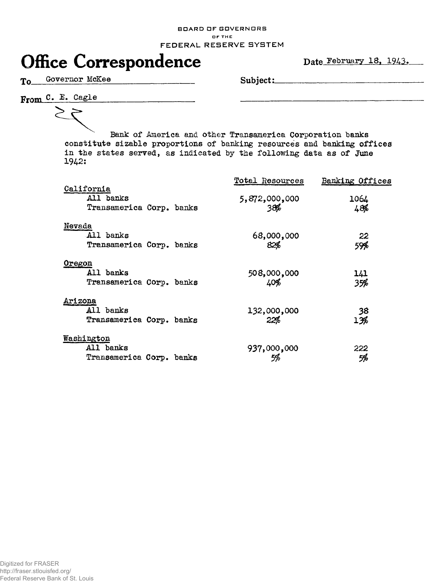## **BOARD DF GOVERNORS**  OF THE **FEDERAL RESERVE SYSTEM**



To Governor McKee Subject:

From C. E. Cagle

╭

Bank of America and other Transamerica Corporation banks constitute sizable proportions of banking resources and banking offices in the states served, as indicated by the following data as of June 1942:

| California                                              | Total Resources      | Banking Offices |
|---------------------------------------------------------|----------------------|-----------------|
| All banks<br>Transamerica Corp. banks                   | 5,872,000,000<br>38% | 1064<br>48%     |
| Nevada<br>All banks<br>Transamerica Corp. banks         | 68,000,000<br>82%    | 22<br>59%       |
| Oregon<br>All banks<br>Transamerica Corp. banks         | 508,000,000<br>40%   | 141<br>35%      |
| <u>Arizona</u><br>All banks<br>Transamerica Corp. banks | 132,000,000<br>22%   | 38<br>13%       |
| Washington<br>All banks<br>Transamerica Corp. banks     | 937,000,000          | 222<br>5%       |